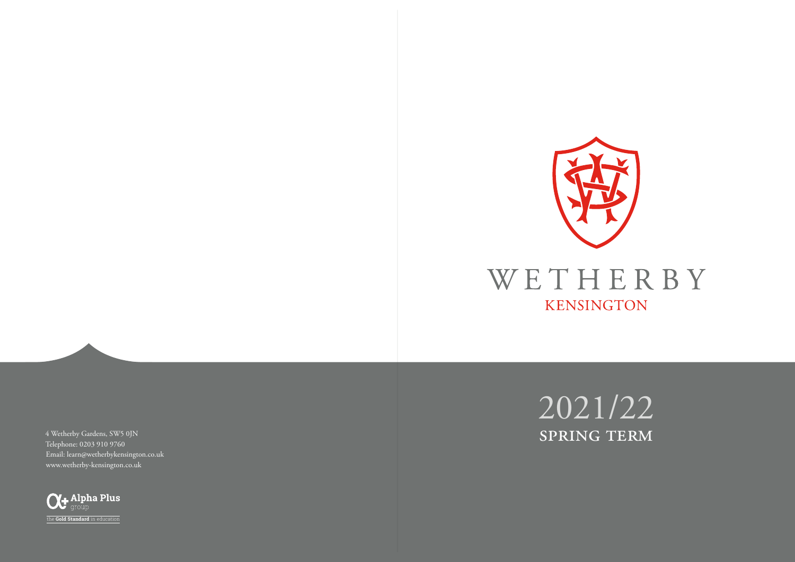

WETHERBY KENSINGTON

4 Wetherby Gardens, SW5 0JN Telephone: 0203 910 9760 Email: learn@wetherbykensington.co.uk www.wetherby-kensington.co.uk